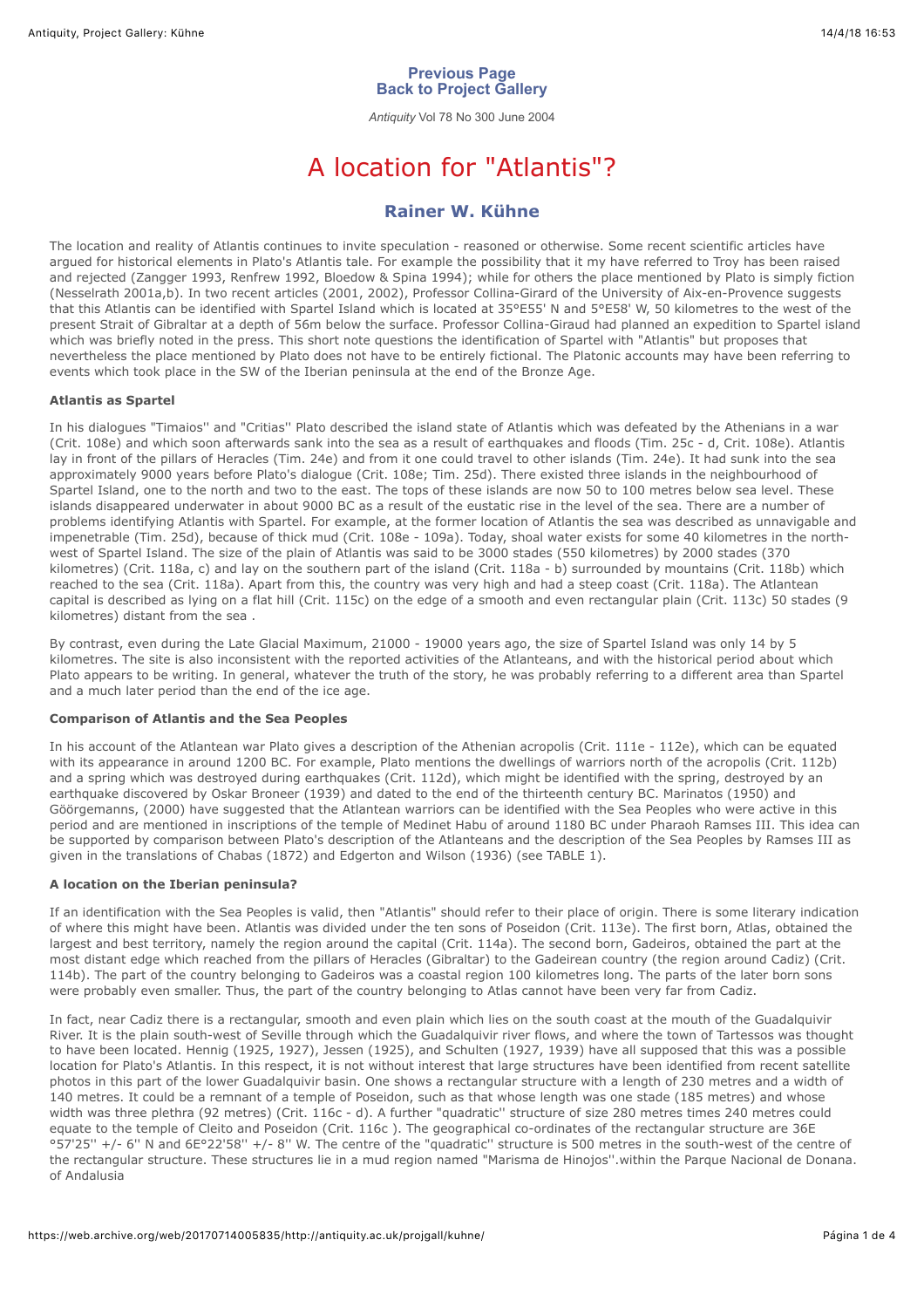# **[Previous Page](javascript:%20history.go(-1)) [Back to Project Gallery](https://web.archive.org/web/20170714005835/http://antiquity.ac.uk/projgall/projindex.html)**

*Antiquity* Vol 78 No 300 June 2004

# A location for "Atlantis"?

# **[Rainer W. Kühne](#page-2-0)**

<span id="page-0-0"></span>The location and reality of Atlantis continues to invite speculation - reasoned or otherwise. Some recent scientific articles have argued for historical elements in Plato's Atlantis tale. For example the possibility that it my have referred to Troy has been raised and rejected (Zangger 1993, Renfrew 1992, Bloedow & Spina 1994); while for others the place mentioned by Plato is simply fiction (Nesselrath 2001a,b). In two recent articles (2001, 2002), Professor Collina-Girard of the University of Aix-en-Provence suggests that this Atlantis can be identified with Spartel Island which is located at 35°E55' N and 5°E58' W, 50 kilometres to the west of the present Strait of Gibraltar at a depth of 56m below the surface. Professor Collina-Giraud had planned an expedition to Spartel island which was briefly noted in the press. This short note questions the identification of Spartel with "Atlantis" but proposes that nevertheless the place mentioned by Plato does not have to be entirely fictional. The Platonic accounts may have been referring to events which took place in the SW of the Iberian peninsula at the end of the Bronze Age.

## **Atlantis as Spartel**

In his dialogues "Timaios'' and "Critias'' Plato described the island state of Atlantis which was defeated by the Athenians in a war (Crit. 108e) and which soon afterwards sank into the sea as a result of earthquakes and floods (Tim. 25c - d, Crit. 108e). Atlantis lay in front of the pillars of Heracles (Tim. 24e) and from it one could travel to other islands (Tim. 24e). It had sunk into the sea approximately 9000 years before Plato's dialogue (Crit. 108e; Tim. 25d). There existed three islands in the neighbourhood of Spartel Island, one to the north and two to the east. The tops of these islands are now 50 to 100 metres below sea level. These islands disappeared underwater in about 9000 BC as a result of the eustatic rise in the level of the sea. There are a number of problems identifying Atlantis with Spartel. For example, at the former location of Atlantis the sea was described as unnavigable and impenetrable (Tim. 25d), because of thick mud (Crit. 108e - 109a). Today, shoal water exists for some 40 kilometres in the northwest of Spartel Island. The size of the plain of Atlantis was said to be 3000 stades (550 kilometres) by 2000 stades (370 kilometres) (Crit. 118a, c) and lay on the southern part of the island (Crit. 118a - b) surrounded by mountains (Crit. 118b) which reached to the sea (Crit. 118a). Apart from this, the country was very high and had a steep coast (Crit. 118a). The Atlantean capital is described as lying on a flat hill (Crit. 115c) on the edge of a smooth and even rectangular plain (Crit. 113c) 50 stades (9 kilometres) distant from the sea .

By contrast, even during the Late Glacial Maximum, 21000 - 19000 years ago, the size of Spartel Island was only 14 by 5 kilometres. The site is also inconsistent with the reported activities of the Atlanteans, and with the historical period about which Plato appears to be writing. In general, whatever the truth of the story, he was probably referring to a different area than Spartel and a much later period than the end of the ice age.

# **Comparison of Atlantis and the Sea Peoples**

In his account of the Atlantean war Plato gives a description of the Athenian acropolis (Crit. 111e - 112e), which can be equated with its appearance in around 1200 BC. For example, Plato mentions the dwellings of warriors north of the acropolis (Crit. 112b) and a spring which was destroyed during earthquakes (Crit. 112d), which might be identified with the spring, destroyed by an earthquake discovered by Oskar Broneer (1939) and dated to the end of the thirteenth century BC. Marinatos (1950) and Göörgemanns, (2000) have suggested that the Atlantean warriors can be identified with the Sea Peoples who were active in this period and are mentioned in inscriptions of the temple of Medinet Habu of around 1180 BC under Pharaoh Ramses III. This idea can be supported by comparison between Plato's description of the Atlanteans and the description of the Sea Peoples by Ramses III as given in the translations of Chabas (1872) and Edgerton and Wilson (1936) (see TABLE 1).

# **A location on the Iberian peninsula?**

If an identification with the Sea Peoples is valid, then "Atlantis" should refer to their place of origin. There is some literary indication of where this might have been. Atlantis was divided under the ten sons of Poseidon (Crit. 113e). The first born, Atlas, obtained the largest and best territory, namely the region around the capital (Crit. 114a). The second born, Gadeiros, obtained the part at the most distant edge which reached from the pillars of Heracles (Gibraltar) to the Gadeirean country (the region around Cadiz) (Crit. 114b). The part of the country belonging to Gadeiros was a coastal region 100 kilometres long. The parts of the later born sons were probably even smaller. Thus, the part of the country belonging to Atlas cannot have been very far from Cadiz.

In fact, near Cadiz there is a rectangular, smooth and even plain which lies on the south coast at the mouth of the Guadalquivir River. It is the plain south-west of Seville through which the Guadalquivir river flows, and where the town of Tartessos was thought to have been located. Hennig (1925, 1927), Jessen (1925), and Schulten (1927, 1939) have all supposed that this was a possible location for Plato's Atlantis. In this respect, it is not without interest that large structures have been identified from recent satellite photos in this part of the lower Guadalquivir basin. One shows a rectangular structure with a length of 230 metres and a width of 140 metres. It could be a remnant of a temple of Poseidon, such as that whose length was one stade (185 metres) and whose width was three plethra (92 metres) (Crit. 116c - d). A further "quadratic'' structure of size 280 metres times 240 metres could equate to the temple of Cleito and Poseidon (Crit. 116c ). The geographical co-ordinates of the rectangular structure are 36E °57'25'' +/- 6'' N and 6E°22'58'' +/- 8'' W. The centre of the "quadratic'' structure is 500 metres in the south-west of the centre of the rectangular structure. These structures lie in a mud region named "Marisma de Hinojos''.within the Parque Nacional de Donana. of Andalusia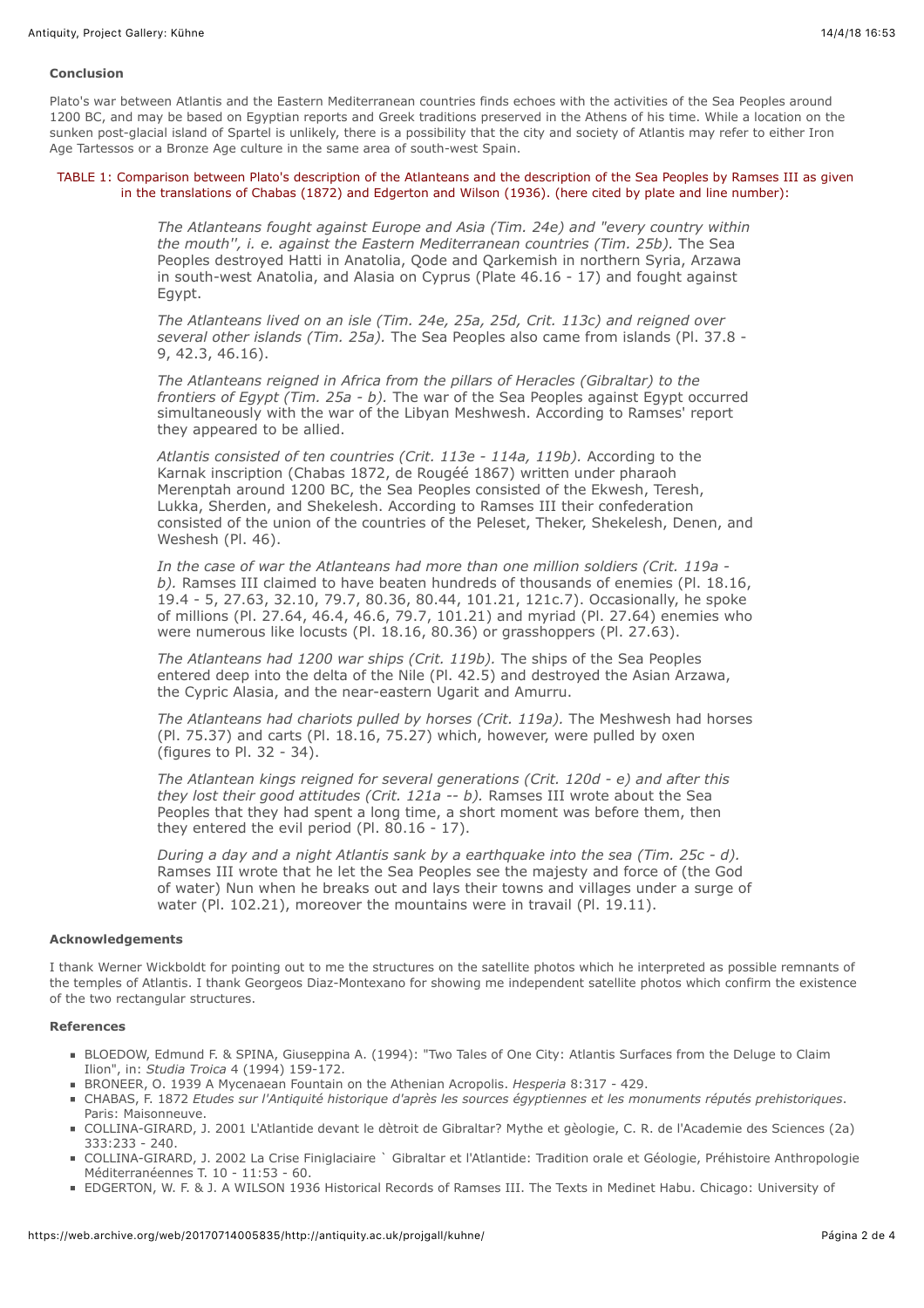#### **Conclusion**

Plato's war between Atlantis and the Eastern Mediterranean countries finds echoes with the activities of the Sea Peoples around 1200 BC, and may be based on Egyptian reports and Greek traditions preserved in the Athens of his time. While a location on the sunken post-glacial island of Spartel is unlikely, there is a possibility that the city and society of Atlantis may refer to either Iron Age Tartessos or a Bronze Age culture in the same area of south-west Spain.

#### TABLE 1: Comparison between Plato's description of the Atlanteans and the description of the Sea Peoples by Ramses III as given in the translations of Chabas (1872) and Edgerton and Wilson (1936). (here cited by plate and line number):

*The Atlanteans fought against Europe and Asia (Tim. 24e) and "every country within the mouth'', i. e. against the Eastern Mediterranean countries (Tim. 25b).* The Sea Peoples destroyed Hatti in Anatolia, Qode and Qarkemish in northern Syria, Arzawa in south-west Anatolia, and Alasia on Cyprus (Plate 46.16 - 17) and fought against Egypt.

*The Atlanteans lived on an isle (Tim. 24e, 25a, 25d, Crit. 113c) and reigned over several other islands (Tim. 25a).* The Sea Peoples also came from islands (Pl. 37.8 - 9, 42.3, 46.16).

*The Atlanteans reigned in Africa from the pillars of Heracles (Gibraltar) to the frontiers of Egypt (Tim. 25a - b).* The war of the Sea Peoples against Egypt occurred simultaneously with the war of the Libyan Meshwesh. According to Ramses' report they appeared to be allied.

*Atlantis consisted of ten countries (Crit. 113e - 114a, 119b).* According to the Karnak inscription (Chabas 1872, de Rougéé 1867) written under pharaoh Merenptah around 1200 BC, the Sea Peoples consisted of the Ekwesh, Teresh, Lukka, Sherden, and Shekelesh. According to Ramses III their confederation consisted of the union of the countries of the Peleset, Theker, Shekelesh, Denen, and Weshesh (Pl. 46).

*In the case of war the Atlanteans had more than one million soldiers (Crit. 119a b).* Ramses III claimed to have beaten hundreds of thousands of enemies (Pl. 18.16, 19.4 - 5, 27.63, 32.10, 79.7, 80.36, 80.44, 101.21, 121c.7). Occasionally, he spoke of millions (Pl. 27.64, 46.4, 46.6, 79.7, 101.21) and myriad (Pl. 27.64) enemies who were numerous like locusts (Pl. 18.16, 80.36) or grasshoppers (Pl. 27.63).

*The Atlanteans had 1200 war ships (Crit. 119b).* The ships of the Sea Peoples entered deep into the delta of the Nile (Pl. 42.5) and destroyed the Asian Arzawa, the Cypric Alasia, and the near-eastern Ugarit and Amurru.

*The Atlanteans had chariots pulled by horses (Crit. 119a).* The Meshwesh had horses (Pl. 75.37) and carts (Pl. 18.16, 75.27) which, however, were pulled by oxen (figures to Pl. 32 - 34).

*The Atlantean kings reigned for several generations (Crit. 120d - e) and after this they lost their good attitudes (Crit. 121a -- b).* Ramses III wrote about the Sea Peoples that they had spent a long time, a short moment was before them, then they entered the evil period (Pl. 80.16 - 17).

*During a day and a night Atlantis sank by a earthquake into the sea (Tim. 25c - d).* Ramses III wrote that he let the Sea Peoples see the majesty and force of (the God of water) Nun when he breaks out and lays their towns and villages under a surge of water (Pl. 102.21), moreover the mountains were in travail (Pl. 19.11).

#### **Acknowledgements**

I thank Werner Wickboldt for pointing out to me the structures on the satellite photos which he interpreted as possible remnants of the temples of Atlantis. I thank Georgeos Diaz-Montexano for showing me independent satellite photos which confirm the existence of the two rectangular structures.

## **References**

- BLOEDOW, Edmund F. & SPINA, Giuseppina A. (1994): "Two Tales of One City: Atlantis Surfaces from the Deluge to Claim Ilion", in: *Studia Troica* 4 (1994) 159-172.
- BRONEER, O. 1939 A Mycenaean Fountain on the Athenian Acropolis. *Hesperia* 8:317 429.
- CHABAS, F. 1872 *Etudes sur l'Antiquité historique d'après les sources égyptiennes et les monuments réputés prehistoriques*. Paris: Maisonneuve.
- COLLINA-GIRARD, J. 2001 L'Atlantide devant le dètroit de Gibraltar? Mythe et gèologie, C. R. de l'Academie des Sciences (2a) 333:233 - 240.
- COLLINA-GIRARD, J. 2002 La Crise Finiglaciaire ` Gibraltar et l'Atlantide: Tradition orale et Géologie, Préhistoire Anthropologie Méditerranéennes T. 10 - 11:53 - 60.
- EDGERTON, W. F. & J. A WILSON 1936 Historical Records of Ramses III. The Texts in Medinet Habu. Chicago: University of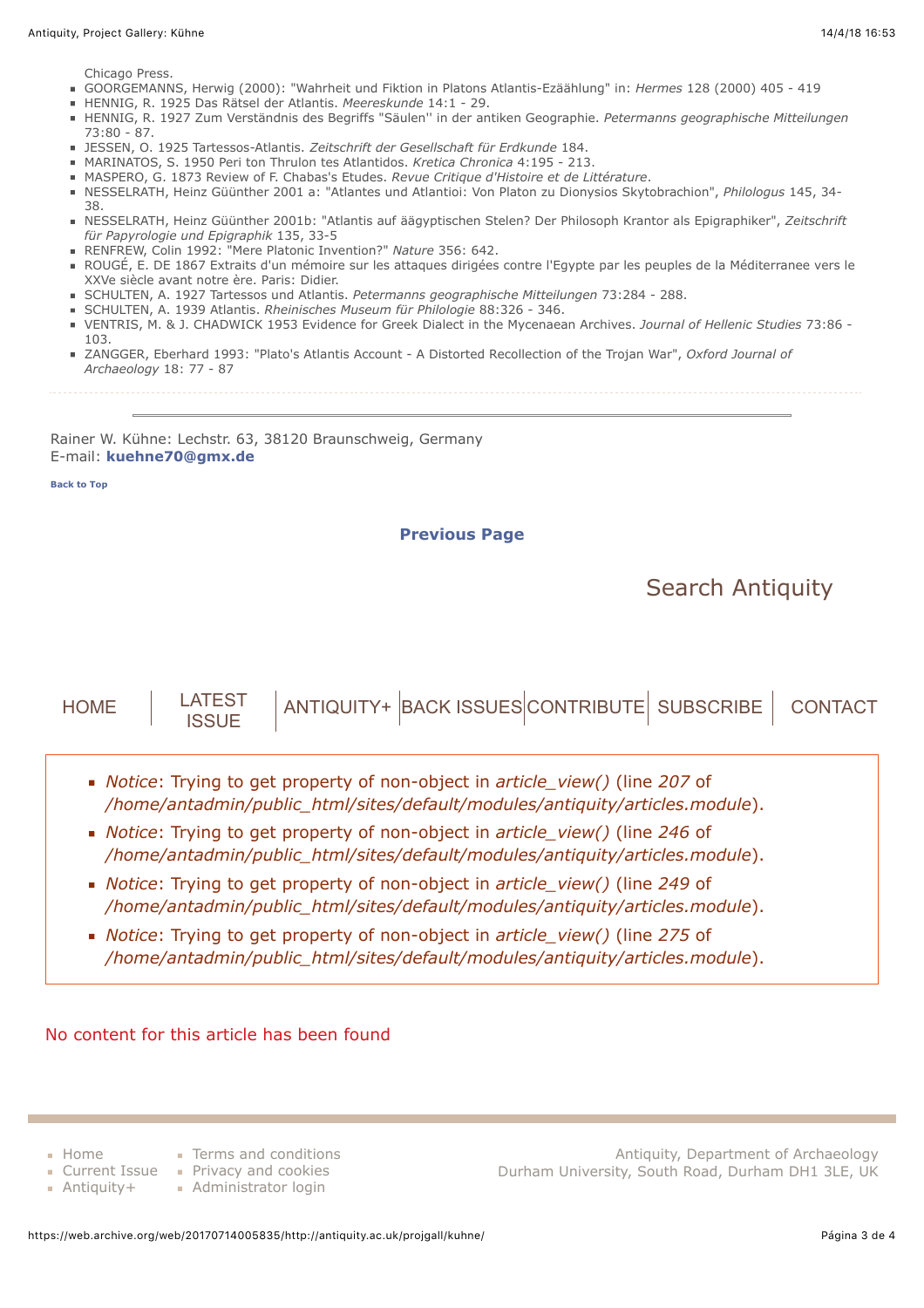Chicago Press.

- GOORGEMANNS, Herwig (2000): "Wahrheit und Fiktion in Platons Atlantis-Ezäählung" in: *Hermes* 128 (2000) 405 419
- HENNIG, R. 1925 Das Rätsel der Atlantis. *Meereskunde* 14:1 29.
- HENNIG, R. 1927 Zum Verständnis des Begriffs "Säulen'' in der antiken Geographie. *Petermanns geographische Mitteilungen*  $73.80 - 87$
- JESSEN, O. 1925 Tartessos-Atlantis. *Zeitschrift der Gesellschaft für Erdkunde* 184.
- MARINATOS, S. 1950 Peri ton Thrulon tes Atlantidos. *Kretica Chronica* 4:195 213.
- MASPERO, G. 1873 Review of F. Chabas's Etudes. *Revue Critique d'Histoire et de Littérature*.
- NESSELRATH, Heinz Güünther 2001 a: "Atlantes und Atlantioi: Von Platon zu Dionysios Skytobrachion", *Philologus* 145, 34- 38.
- NESSELRATH, Heinz Güünther 2001b: "Atlantis auf äägyptischen Stelen? Der Philosoph Krantor als Epigraphiker", *Zeitschrift für Papyrologie und Epigraphik* 135, 33-5
- RENFREW, Colin 1992: "Mere Platonic Invention?" *Nature* 356: 642.
- ROUGÉ, E. DE 1867 Extraits d'un mémoire sur les attaques dirigées contre l'Egypte par les peuples de la Méditerranee vers le XXVe siècle avant notre ère. Paris: Didier.
- SCHULTEN, A. 1927 Tartessos und Atlantis. *Petermanns geographische Mitteilungen* 73:284 288.
- SCHULTEN, A. 1939 Atlantis. *Rheinisches Museum für Philologie* 88:326 346.
- VENTRIS, M. & J. CHADWICK 1953 Evidence for Greek Dialect in the Mycenaean Archives. *Journal of Hellenic Studies* 73:86 103.
- ZANGGER, Eberhard 1993: "Plato's Atlantis Account A Distorted Recollection of the Trojan War", *Oxford Journal of Archaeology* 18: 77 - 87
	-

<span id="page-2-0"></span>Rainer W. Kühne: Lechstr. 63, 38120 Braunschweig, Germany E-mail: **[kuehne70@gmx.de](https://web.archive.org/web/20170714005835/mailto:kuehne70@gmx.de)**

**[Back to Top](#page-0-0)**

**[Previous Page](javascript:%20history.go(-1))**

# [Search Antiquity](https://web.archive.org/web/20170714005835/http://antiquity.ac.uk/search)



- *Notice*: Trying to get property of non-object in *article\_view()* (line *249* of */home/antadmin/public\_html/sites/default/modules/antiquity/articles.module*).
- *Notice*: Trying to get property of non-object in *article\_view()* (line *275* of */home/antadmin/public\_html/sites/default/modules/antiquity/articles.module*).

No content for this article has been found

[Home](https://web.archive.org/web/20170714005835/http://antiquity.ac.uk/)

[Antiquity+](https://web.archive.org/web/20170714005835/http://antiquity.ac.uk/projgall/kuhne/antplus)

- **[Terms and conditions](https://web.archive.org/web/20170714005835/http://antiquity.ac.uk/terms)**
- [Current Issue](https://web.archive.org/web/20170714005835/http://antiquity.ac.uk/projgall/kuhne/current) [Privacy and cookies](https://web.archive.org/web/20170714005835/http://antiquity.ac.uk/privacy)
	- **[Administrator login](https://web.archive.org/web/20170714005835/http://antiquity.ac.uk/user/login)**

Antiquity, Department of Archaeology Durham University, South Road, Durham DH1 3LE, UK